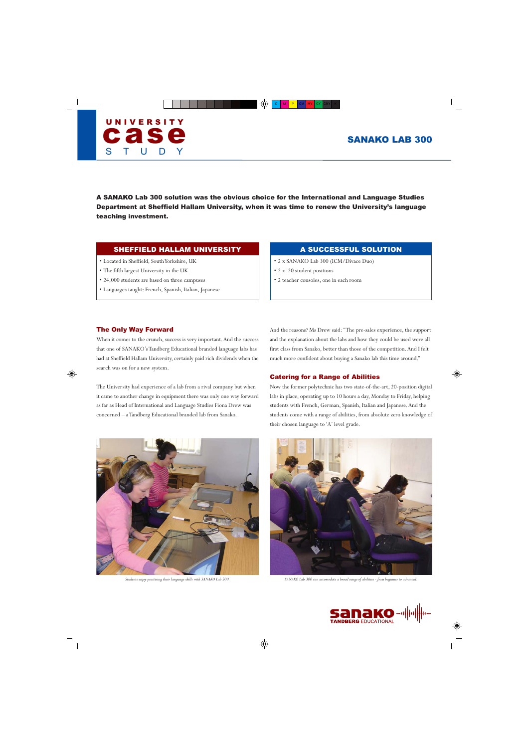

A SANAKO Lab 300 solution was the obvious choice for the International and Language Studies Department at Sheffield Hallam University, when it was time to renew the University's language teaching investment.

## SHEFFIELD HALLAM UNIVERSITY

- Located in Sheffield, South Yorkshire, UK
- The fifth largest University in the UK
- 24,000 students are based on three campuses
- Languages taught: French, Spanish, Italian, Japanese

## A SUCCESSFUL SOLUTION

- 2 x SANAKO Lab 300 (ICM/Divace Duo)
- 2 x 20 student positions
- 2 teacher consoles, one in each room

#### The Only Way Forward

When it comes to the crunch, success is very important. And the success that one of SANAKO's Tandberg Educational branded language labs has had at Sheffield Hallam University, certainly paid rich dividends when the search was on for a new system.

The University had experience of a lab from a rival company but when it came to another change in equipment there was only one way forward as far as Head of International and Language Studies Fiona Drew was concerned – a Tandberg Educational branded lab from Sanako.



And the reasons? Ms Drew said: ''The pre-sales experience, the support and the explanation about the labs and how they could be used were all first class from Sanako, better than those of the competition. And I felt much more confident about buying a Sanako lab this time around.''

#### Catering for a Range of Abilities

Now the former polytechnic has two state-of-the-art, 20-position digital labs in place, operating up to 10 hours a day, Monday to Friday, helping students with French, German, Spanish, Italian and Japanese. And the students come with a range of abilities, from absolute zero knowledge of their chosen language to 'A' level grade.



*Students enjoy practising their language skills with SANAKO Lab 300. SANAKO Lab 300 can accomodate a broad range of abilities - from beginner to advanced.*